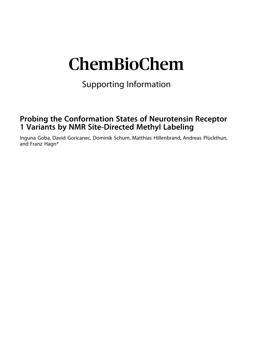# ChemBioChem

Supporting Information

### **Probing the Conformation States of Neurotensin Receptor 1 Variants by NMR Site-Directed Methyl Labeling**

Inguna Goba, David Goricanec, Dominik Schum, Matthias Hillenbrand, Andreas Plückthun, and Franz Hagn\*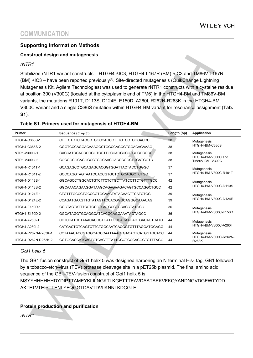### **Supporting Information Methods**

#### **Construct design and mutagenesis**

*rNTR1*

Stabilized rNTR1 variant constructs – HTGH4  $\triangle$ IC3, HTGH4-L167R (BM)  $\triangle$ IC3 and TM86V-L167R (BM)  $\triangle$ IC3 – have been reported previously<sup>[1]</sup>. Site-directed mutagenesis (QuikChange Lightning Mutagenesis Kit, Agilent Technologies) was used to generate rNTR1 constructs with a cysteine residue at position 300 (V300C) (located at the cytoplasmic end of TM6) in the HTGH4-BM and TM86V-BM variants, the mutations R101T, D113S, D124E, E150D, A260I, R262N-R263K in the HTGH4-BM V300C variant and a single C386S mutation within HTGH4-BM variant for resonance assignment (**Tab. S1**).

#### **Table S1. Primers used for mutagensis of HTGH4-BM**

| <b>Primer</b>        | Sequence $(5' \rightarrow 3')$               | Length (bp) | <b>Application</b>                                   |
|----------------------|----------------------------------------------|-------------|------------------------------------------------------|
| HTGH4-C386S-1        | CTTTCTGTCCACGCTGGCCAGCCTTTGTCCTGGGACCC       | 38          | Mutagenesis<br>HTGH4-BM-C386S                        |
| HTGH4-C386S-2        | GGGTCCCAGGACAAAGGCTGGCCAGCGTGGACAGAAAG       | 38          |                                                      |
| NTR1-V300C-1         | GACCATCGAGCCGGGTCGTTGCCAGGCCCTGCGCCGCG       | 38          | Mutagenesis<br>HTGH4-BM-V300C and<br>TM86V-BM-V300C  |
| NTR1-V300C-2         | CGCGGCGCAGGGCCTGGCAACGACCCGGCTCGATGGTC       | 38          |                                                      |
| HTGH4-R101T-1        | GCAGAGCCTGCAGAGCACGGTGGATTACTACCTGGGC        | 37          | Mutagenesis<br>HTGH4-BM-V300C-R101T                  |
| HTGH4-R101T-2        | GCCCAGGTAGTAATCCACCGTGCTCTGCAGGCTCTGC        | 37          |                                                      |
| <b>HTGH4-D113S-1</b> | GGCAGCCTGGCACTGTCTTCTCTGCTTATCCTTCTGTTTGCC   | 42          | Mutagenesis<br>HTGH4-BM-V300C-D113S                  |
| HTGH4-D113S-2        | GGCAAACAGAAGGATAAGCAGAGAAGACAGTGCCAGGCTGCC   | 42          |                                                      |
| HTGH4-D124E-1        | CTGTTTGCCCTGCCCGTGGAACTATACAACTTCATCTGG      | 39          | Mutagenesis<br>HTGH4-BM-V300C-D124E                  |
| <b>HTGH4-D124F-2</b> | CCAGATGAAGTTGTATAGTTCCACGGGCAGGCAAACAG       | 39          |                                                      |
| HTGH4-E150D-1        | GGCTACTATTTCCTGCGTGATGCCTGCACCTATGCC         | 36          | Mutagenesis<br>HTGH4-BM-V300C-E150D                  |
| HTGH4-E150D-2        | GGCATAGGTGCAGGCATCACGCAGGAAATAGTAGCC         | 36          |                                                      |
| HTGH4-A260I-1        | CCTCCATCCTAAACACCGTGATTGCCAGAAGACTGACAGTCATG | 44          | Mutagenesis<br>HTGH4-BM-V300C-A260I                  |
| HTGH4-A260I-2        | CATGACTGTCAGTCTTCTGGCAATCACGGTGTTTAGGATGGAGG | 44          |                                                      |
| HTGH4-R262N-R263K-1  | CCTAAACACCGTGGCAGCCAATAAACTGACAGTCATGGTGCACC | 44          | Mutagenesis<br>HTGH4-BM-V300C-R262N-<br><b>R263K</b> |
| HTGH4-R262N-R263K-2  | GGTGCACCATGACTGTCAGTTTATTGGCTGCCACGGTGTTTAGG | 44          |                                                      |

#### *G*a*i1 helix 5*

The GB1 fusion construct of G $\alpha$ i1 helix 5 was designed harboring an N-terminal His<sub>6</sub>-tag, GB1 followed by a tobacco-etch-virus (TEV) protease cleavage site in a pET25b plasmid. The final amino acid sequence of the GB1-TEV-fusion construct of G $\alpha$ i1 helix 5 is:

MSYYHHHHHHDYDIPTTAMEYKLILNGKTLKGETTTEAVDAATAEKVFKQYANDNGVDGEWTYDD AKTFTVTEIPTTENLYFQGGTDAVTDVIIKNNLKDCGLF.

#### **Protein production and purification**

*rNTR1*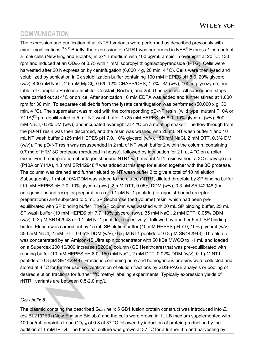The expression and purification of all rNTR1 variants were performed as described previously with minor modifications.<sup>[1a, 2]</sup> Briefly, the expression of rNTR1 was performed in NEB<sup>®</sup> Express  $I<sup>q</sup>$  competent *E. coli* cells (New England Biolabs) in 2xYT medium with 100 µg/mL ampicilin overnight at 20 ºC, 130 rpm and induced at an  $OD_{600}$  of 0.75 with 1 mM isopropyl thiogalactopyranoside (IPTG). Cells were harvested after 20 h expression by centrifugation (6,000 × g, 20 min, 4 °C). Cells were then lysed and solubilized by sonication in 2x solubilization buffer containing 100 mM HEPES pH 8.0, 20% glycerol (w/v), 400 mM NaCl, 2.5 mM MgCl<sub>2</sub>, 0.6/0.12% CHAPS/CHS, 1.7% DM (w/v), 100 mg lysozyme, one tablet of Complete Protease Inhibitor Cocktail (Roche), and 250 U benzonase. All subsequent steps were carried out at 4°C or on ice. After sonication 10 mM EDTA was added and further stirred at 1,000 rpm for 30 min. To separate cell debris from the lysate centrifugation was performed (50,000 x g, 30 min, 4 °C). The supernatant was mixed with the corresponding pD-NT resin (wild type, mutant P10A or Y11A)<sup>[2]</sup> pre-equilibrated in 5 mL NT wash buffer 1 (25 mM HEPES pH 8.0, 10% glycerol (w/v), 600 mM NaCl, 0.5% DM (w/v)) and incubated overnight at 4 °C on a nutating shaker. The flow-through from the pD-NT resin was then discarded, and the resin was washed with 20 mL NT wash buffer 1 and 10 mL NT wash buffer 2 (25 mM HEPES pH 7.0, 10% glycerol (w/v), 150 mM NaCl, 2 mM DTT, 0.3% DM (w/v)). The pD-NT resin was resuspended in 2 mL of NT wash buffer 2 within the column, containing 0.7 mg of HRV 3C protease (produced in house), followed by incubation for 2 h at 4 °C on a roller mixer. For the preparation of antagonist bound NTR1 with mutant NT1 resin without a 3C cleavage site (P10A or Y11A), 4.3 mM SR142948<sup>[3]</sup> was added at this step for elution together with the 3C protease. The column was drained and further eluted by NT wash buffer 2 to give a total of 10 ml elution. Subsequently, 1 ml of 10% DDM was added to the eluted rNTR1, diluted threefold by SP binding buffer (10 mM HEPES pH 7.0, 10% glycerol (w/v), 2 mM DTT, 0.05% DDM (w/v), 0.3 µM SR142948 (for antagonist-bound receptor preparations) or 0.1 µM NT1 peptide (for agonist-bound receptor preparations) and subjected to 5 mL SP Sepharose (bed volume) resin, which had been preequilibrated with SP binding buffer. The SP column was washed with 20 mL SP binding buffer, 25 mL SP wash buffer (10 mM HEPES pH 7.7, 10% glycerol (w/v), 35 mM NaCl, 2 mM DTT, 0.05% DDM (w/v), 0.3 µM SR142948 or 0.1 µM NT1 peptide, respectively), followed by another 5 mL SP binding buffer. Elution was carried out by 15 mL SP elution buffer (10 mM HEPES pH 7.0, 10% glycerol (w/v), 350 mM NaCl, 2 mM DTT, 0.05% DDM (w/v), 0.5  $\mu$ M NT1 peptide or 0.3  $\mu$ M SR142948). The eluate was concentrated by an Amicon-15 Ultra spin concentrator with 50 kDa MWCO to ~1 mL and loaded on a Superdex 200 10/300 Increase (S200a) column (GE Healthcare) that was pre-equilibrated with running buffer (10 mM HEPES pH 8.0, 150 mM NaCl, 2 mM DTT, 0.02% DDM (w/v), 0.1 µM NT1 peptide or 0.3 µM SR142948). Fractions containing pure and homogenous proteins were collected and stored at 4 °C for further use, i.e. verification of elution fractions by SDS-PAGE analysis or pooling of desired elution fractions for further <sup>13</sup>C methyl labeling experiments. Typically expression yields of rNTR1 variants are between 0.5-2.0 mg/L.

#### $Ga_{i,1}$  *helix* 5

The plasmid containg the described  $Ga_{i,1}$  helix 5 GB1 fusion protein construct was introduced into  $E$ . *coli* BL21(DE3) (New England Biolabs) and the cells were grown in 1L LB medium supplemented with 100  $\mu$ g/mL ampicilin to an OD<sub>600</sub> of 0.8 at 37 °C followed by induction of protein production by the addition of 1 mM IPTG. The bacterial culture was grown at 37 °C for a further 3 h and harvesting by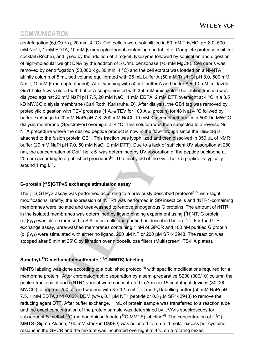centrifugation (6,000 × g, 20 min, 4 °C). Cell pellets were solubilized in 50 mM Tris/HCl pH 8.0, 500 mM NaCl, 1 mM EDTA, 10 mM β-mercaptoethanol containing one tablet of Complete protease inhibitor cocktail (Roche), and lysed by the addition of 2 mg/mL lysozyme followed by sonication and digestion of high-molecular weight DNA by the additon of 5 U/mL benzonase  $(+5 \text{ mM } \text{MqCl}_2)$ . Cell debris was removed by centrifugation (50,000 x g, 30 min, 4 °C) and the cell extract was loaded on a Ni-NTA affinity column of 5 mL bed volume equilibrated with 25 mL buffer A (50 mM Tris/HCl pH 8.0, 500 mM NaCl, 10 mM β-mercaptoethanol). After washing with 50 mL buffer A and buffer A + 10 mM imidazole,  $Ga$ i1 helix 5 was eluted with buffer A supplemented with 350 mM imidazole. The elution fraction was dialyzed against 20 mM NaPi pH 7.5, 20 mM NaCl, 1 mM EDTA, 2 mM DTT overnight at 4 °C in a 3.5 kD MWCO dialysis membrane (Carl Roth, Karlsruhe, D). After dialysis, the GB1 tag was removed by proteolytic digestion with TEV protease (1 A<sub>280</sub> TEV for 100 A<sub>280</sub> protein) for 48 h at 4 °C follwed by buffer exchange to 20 mM NaPi pH 7.8, 200 mM NaCl, 10 mM β-mercaptoethanol in a 500 Da MWCO dialysis membrane (SpectraPor) overnight at 4 °C. This solution was then subjected to a reverse Ni-NTA precedure where the desired peptide product is now in the flow-through since the  $His<sub>6</sub>$ -tag is attached to the fusion protein GB1. This fraction was lyophilized and then dissolved in 350 µL of NMR buffer (20 mM NaPi pH 7.0, 50 mM NaCl, 2 mM DTT). Due to a lack of sufficient UV absorption at 280 nm, the concentration of G $\alpha$  1 helix 5 was determined by UV absorption of the peptide backbone at 205 nm according to a published procedure<sup>[4]</sup>. The final yield of the G $\alpha_{i,1}$  helix 5 peptide is typically around 1 mg L<sup>-1</sup>.

### **G-protein [ 35S]GTPγS exchange stimulation assay**

The  $[35S]$ GTPyS assay was performed according to a previously described protocol<sup>[1, 5]</sup> with slight modifications. Briefly, the expression of rNTR1 was performed in Sf9 insect cells and rNTR1-containing membranes were isolated and urea-washed to remove endogenous G proteins. The amount of rNTR1 in the isolated membranes was determined by ligand binding experiment using  $[{}^{3}H]NT$ . G protein ( $\alpha_{i1}\beta_1\gamma_1$ ) was also expressed in Sf9 insect cells and purified as described before<sup>[1, 5]</sup>. For the GTP exchange assay, urea-washed membranes containing 1 nM of GPCR and 100 nM purified G protein  $(\alpha_{i1}\beta_{1}\gamma_{1})$  were stimulated with either no ligand, 200 µM NT or 200 µM SR142948. The reaction was stopped after 5 min at 25°C by filtration over nitrocellulose filters (MultiscreenHTS-HA plates).

### **S-methyl-13C methanethiosulfonate ( 13C-MMTS) labeling**

MMTS labeling was done according to a published protocol<sup>[6]</sup> with specific modifications required for a membrane protein. After chromatographic separation by a semi-preparative S200 (300/10) column the pooled fractions of each rNTR1 variant were concentrated in Amicon 15 centrifugal devices (30,000 MWCO) to approx. 250 μL and washed with 3 x 12.5 mL <sup>13</sup>C methyl labelling buffer (50 mM NaPi pH 7.5, 1 mM EDTA and 0.02% DDM (w/v), 0.1 μM NT1 peptide or 0.3 µM SR142948) to remove the reducing agent DTT. After buffer exchange, 1 mL of protein sample was transferred to a reaction tube and the exact concentration of the protein sample was determined by UV/Vis spectroscopy for subsequent S-methyl-<sup>13</sup>C-methanethiosulfonate (<sup>13</sup>C-MMTS) labeling<sup>[6]</sup>. The concentration of (<sup>13</sup>C)-MMTS (Sigma-Aldrich, 100 mM stock in DMSO) was adjusted to a 5-fold molar excess per cysteine residue in the GPCR and the mixture was incubated overnight at 4°C on a rotating mixer.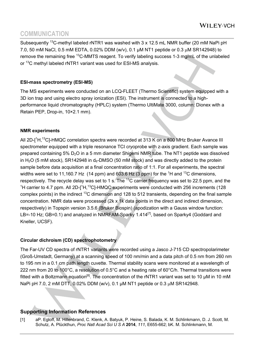Subsequently <sup>13</sup>C-methyl labeled rNTR1 was washed with 3 x 12.5 mL NMR buffer (20 mM NaPi pH 7.0, 50 mM NaCl, 0.5 mM EDTA, 0.02% DDM (w/v), 0.1 μM NT1 peptide or 0.3 µM SR142948) to remove the remaining free <sup>13</sup>C-MMTS reagent. To verify labeling success 1-3 mg/mL of the unlabeled or 13C methyl labeled rNTR1 variant was used for ESI-MS analysis.

### **ESI-mass spectrometry (ESI-MS)**

The MS experiments were conducted on an LCQ-FLEET (Thermo Scientific) system equipped with a 3D ion trap and using electro spray ionization (ESI). The instrument is connected to a highperformance liquid chromatography (HPLC) system (Thermo UltiMate 3000, column: Dionex with a Retain PEP, Drop-in, 10×2.1 mm).

### **NMR experiments**

All 2D-[<sup>1</sup>H,<sup>13</sup>C]-HMQC correlation spectra were recorded at 313 K on a 800 MHz Bruker Avance III spectrometer equipped with a triple resonance TCI cryoprobe with z-axis gradient. Each sample was prepared containing 5%  $D_2O$  in a 5 mm diameter Shigemi NMR tube. The NT1 peptide was dissolved in H<sub>2</sub>O (5 mM stock), SR142948 in  $d_6$ -DMSO (50 mM stock) and was directly added to the protein sample before data acquisition at a final concentration ratio of 1:1. For all experiments, the spectral widths were set to 11,160.7 Hz (14 ppm) and 603.6 Hz (3 ppm) for the <sup>1</sup>H and <sup>13</sup>C dimensions, respectively. The recycle delay was set to 1 s. The <sup>13</sup>C carrier frequency was set to 22.5 ppm, and the <sup>1</sup>H carrier to 4.7 ppm. All 2D- $[$ <sup>1</sup>H,<sup>13</sup>C]-HMQC experiments were conducted with 256 increments (128 complex points) in the indirect 13C dimension and 128 to 512 transients, depending on the final sample concentration. NMR data were processed (2k x 1k data points in the direct and indirect dimension, respectively) in Topspin version 3.5.6 (Bruker Biospin) (apodization with a Gauss window function: LB=-10 Hz; GB=0.1) and analyzed in NMRFAM-Sparky 1.414<sup>[7]</sup>, based on Sparky4 (Goddard and Kneller, UCSF).

### **Circular dichroism (CD) spectrophotometry**

The Far-UV CD spectra of rNTR1 variants were recorded using a Jasco J-715 CD spectropolarimeter (Groß-Umstadt, Germany) at a scanning speed of 100 nm/min and a data pitch of 0.5 nm from 260 nm to 195 nm in a 0.1 cm path length cuvette. Thermal stability scans were monitored at a wavelength of 222 nm from 20 to 100°C, a resolution of 0.5°C and a heating rate of 60°C/h. Thermal transitions were fitted with a Boltzmann equation<sup>[8]</sup>. The concentration of the rNTR1 variant was set to 10  $\mu$ M in 10 mM NaPi pH 7.0, 2 mM DTT, 0.02% DDM (w/v), 0.1 μM NT1 peptide or 0.3 µM SR142948.

### **Supporting Information References**

[1] aP. Egloff, M. Hillenbrand, C. Klenk, A. Batyuk, P. Heine, S. Balada, K. M. Schlinkmann, D. J. Scott, M. Schutz, A. Plückthun, *Proc Natl Acad Sci U S A* **2014**, *111*, E655-662; bK. M. Schlinkmann, M.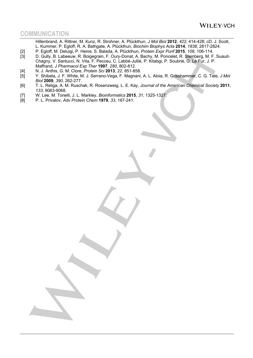- Hillenbrand, A. Rittner, M. Kunz, R. Strohner, A. Plückthun, *J Mol Biol* **2012**, *422*, 414-428; cD. J. Scott, L. Kummer, P. Egloff, R. A. Bathgate, A. Plückthun, *Biochim Biophys Acta* **2014**, *1838*, 2817-2824.
- [2] P. Egloff, M. Deluigi, P. Heine, S. Balada, A. Plückthun, *Protein Expr Purif* **2015**, *108*, 106-114.
- D. Gully, B. Labeeuw, R. Boigegrain, F. Oury-Donat, A. Bachy, M. Poncelet, R. Steinberg, M. F. Suaud-Chagny, V. Santucci, N. Vita, F. Pecceu, C. Labbé-Jullié, P. Kitabgi, P. Soubrié, G. Le Fur, J. P. Maffrand, *J Pharmacol Exp Ther* **1997**, *280*, 802-812.
- [4] N. J. Anthis, G. M. Clore, *Protein Sci* **2013**, *22*, 851-858.
- [5] Y. Shibata, J. F. White, M. J. Serrano-Vega, F. Magnani, A. L. Aloia, R. Grisshammer, C. G. Tate, *J Mol Biol* **2009**, *390*, 262-277.
- [6] T. L. Religa, A. M. Ruschak, R. Rosenzweig, L. E. Kay, *Journal of the American Chemical Society* **2011**, *133*, 9063-9068.
- [7] W. Lee, M. Tonelli, J. L. Markley, *Bioinformatics* **2015**, *31*, 1325-1327.
- [8] P. L. Privalov, *Adv Protein Chem* **1979**, *33*, 167-241.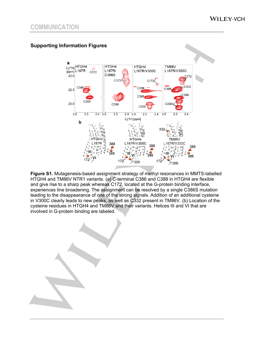



**Figure S1.** Mutagenesis-based assignment strategy of methyl resonances in MMTS-labelled HTGH4 and TM86V NTR1 variants. (a) C-terminal C386 and C388 in HTGH4 are flexible and give rise to a sharp peak whereas C172, located at the G-protein binding interface, experiences line broadening. The assignment can be resolved by a single C386S mutation leading to the disappearance of one of the strong signals. Addition of an additional cysteine in V300C clearly leads to new peaks, as well as C332 present in TM86V. (b) Location of the cysteine residues in HTGH4 and TM86V and their variants. Helices III and VI that are involved in G-protein binding are labeled.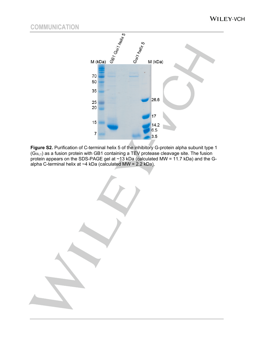

**Figure S2.** Purification of C-terminal helix 5 of the inhibitory G-protein alpha subunit type 1  $(G\alpha_{i,1})$  as a fusion protein with GB1 containing a TEV protease cleavage site. The fusion protein appears on the SDS-PAGE gel at ~13 kDa (calculated MW = 11.7 kDa) and the Galpha C-terminal helix at ~4 kDa (calculated MW = 2.2 kDa).